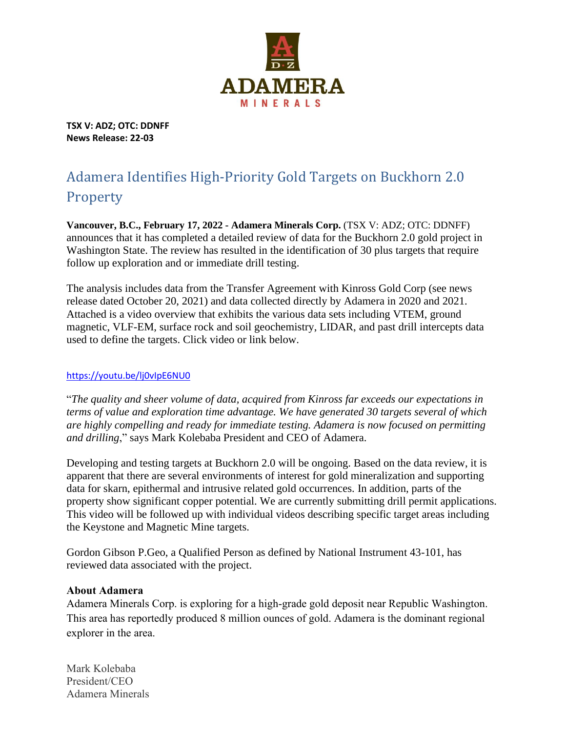

**TSX V: ADZ; OTC: DDNFF News Release: 22-03**

## Adamera Identifies High-Priority Gold Targets on Buckhorn 2.0 Property

**Vancouver, B.C., February 17, 2022 - Adamera Minerals Corp.** (TSX V: ADZ; OTC: DDNFF) announces that it has completed a detailed review of data for the Buckhorn 2.0 gold project in Washington State. The review has resulted in the identification of 30 plus targets that require follow up exploration and or immediate drill testing.

The analysis includes data from the Transfer Agreement with Kinross Gold Corp (see news release dated October 20, 2021) and data collected directly by Adamera in 2020 and 2021. Attached is a video overview that exhibits the various data sets including VTEM, ground magnetic, VLF-EM, surface rock and soil geochemistry, LIDAR, and past drill intercepts data used to define the targets. Click video or link below.

## <https://youtu.be/lj0vIpE6NU0>

"*The quality and sheer volume of data, acquired from Kinross far exceeds our expectations in terms of value and exploration time advantage. We have generated 30 targets several of which are highly compelling and ready for immediate testing. Adamera is now focused on permitting and drilling*," says Mark Kolebaba President and CEO of Adamera.

Developing and testing targets at Buckhorn 2.0 will be ongoing. Based on the data review, it is apparent that there are several environments of interest for gold mineralization and supporting data for skarn, epithermal and intrusive related gold occurrences. In addition, parts of the property show significant copper potential. We are currently submitting drill permit applications. This video will be followed up with individual videos describing specific target areas including the Keystone and Magnetic Mine targets.

Gordon Gibson P.Geo, a Qualified Person as defined by National Instrument 43-101, has reviewed data associated with the project.

## **About Adamera**

Adamera Minerals Corp. is exploring for a high-grade gold deposit near Republic Washington. This area has reportedly produced 8 million ounces of gold. Adamera is the dominant regional explorer in the area.

Mark Kolebaba President/CEO Adamera Minerals